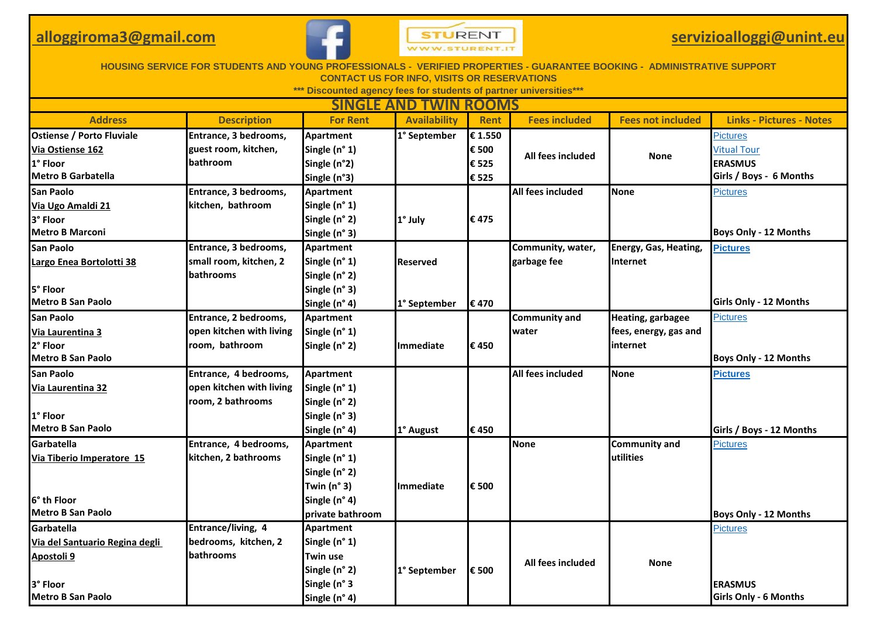## **alloggiroma3@gmail.com**



## **servizioalloggi@unint.eu**

| <b>HOUSING SERVICE FOR STUDENTS AND YOUNG PROFESSION</b><br><b>PROPERTIES - GUARANTEE BOOKING - ADMINISTRATIVE SUPPORT</b><br><b>CONTACT US FOR INFO, VISITS OR RESERVATIONS</b> |                          |                      |                     |             |                      |                              |                                 |  |
|----------------------------------------------------------------------------------------------------------------------------------------------------------------------------------|--------------------------|----------------------|---------------------|-------------|----------------------|------------------------------|---------------------------------|--|
| *** Discounted agency fees for students of partner universities***                                                                                                               |                          |                      |                     |             |                      |                              |                                 |  |
| <b>SINGLE AND TWIN ROOMS</b>                                                                                                                                                     |                          |                      |                     |             |                      |                              |                                 |  |
| <b>Address</b>                                                                                                                                                                   | <b>Description</b>       | <b>For Rent</b>      | <b>Availability</b> | <b>Rent</b> | <b>Fees included</b> | <b>Fees not included</b>     | <b>Links - Pictures - Notes</b> |  |
| <b>Ostiense / Porto Fluviale</b>                                                                                                                                                 | Entrance, 3 bedrooms,    | <b>Apartment</b>     | 1° September        | € 1.550     |                      |                              | <b>Pictures</b>                 |  |
| Via Ostiense 162                                                                                                                                                                 | guest room, kitchen,     | Single (n° 1)        |                     | € 500       | All fees included    | <b>None</b>                  | <b>Vitual Tour</b>              |  |
| 1° Floor                                                                                                                                                                         | bathroom                 | Single (n°2)         |                     | € 525       |                      |                              | <b>ERASMUS</b>                  |  |
| Metro B Garbatella                                                                                                                                                               |                          | Single (n°3)         |                     | € 525       |                      |                              | Girls / Boys - 6 Months         |  |
| San Paolo                                                                                                                                                                        | Entrance, 3 bedrooms,    | <b>Apartment</b>     |                     |             | All fees included    | <b>None</b>                  | <b>Pictures</b>                 |  |
| Via Ugo Amaldi 21                                                                                                                                                                | kitchen, bathroom        | Single (n° 1)        |                     |             |                      |                              |                                 |  |
| 3° Floor                                                                                                                                                                         |                          | Single (n° 2)        | 1° July             | €475        |                      |                              |                                 |  |
| <b>Metro B Marconi</b>                                                                                                                                                           |                          | Single (n° 3)        |                     |             |                      |                              | <b>Boys Only - 12 Months</b>    |  |
| San Paolo                                                                                                                                                                        | Entrance, 3 bedrooms,    | <b>Apartment</b>     |                     |             | Community, water,    | <b>Energy, Gas, Heating,</b> | <b>Pictures</b>                 |  |
| Largo Enea Bortolotti 38                                                                                                                                                         | small room, kitchen, 2   | Single (n° 1)        | <b>Reserved</b>     |             | garbage fee          | <b>Internet</b>              |                                 |  |
|                                                                                                                                                                                  | bathrooms                | Single (n° 2)        |                     |             |                      |                              |                                 |  |
| 5° Floor                                                                                                                                                                         |                          | Single (n° 3)        |                     |             |                      |                              |                                 |  |
| <b>Metro B San Paolo</b>                                                                                                                                                         |                          | Single (n° 4)        | 1° September        | €470        |                      |                              | Girls Only - 12 Months          |  |
| San Paolo                                                                                                                                                                        | Entrance, 2 bedrooms,    | <b>Apartment</b>     |                     |             | <b>Community and</b> | Heating, garbagee            | <b>Pictures</b>                 |  |
| Via Laurentina 3                                                                                                                                                                 | open kitchen with living | Single (n° 1)        |                     |             | water                | fees, energy, gas and        |                                 |  |
| 2° Floor                                                                                                                                                                         | room, bathroom           | Single (n° 2)        | <b>Immediate</b>    | €450        |                      | internet                     |                                 |  |
| <b>Metro B San Paolo</b>                                                                                                                                                         |                          |                      |                     |             |                      |                              | <b>Boys Only - 12 Months</b>    |  |
| San Paolo                                                                                                                                                                        | Entrance, 4 bedrooms,    | Apartment            |                     |             | All fees included    | <b>None</b>                  | <b>Pictures</b>                 |  |
| Via Laurentina 32                                                                                                                                                                | open kitchen with living | Single (n° 1)        |                     |             |                      |                              |                                 |  |
|                                                                                                                                                                                  | room, 2 bathrooms        | Single (n° 2)        |                     |             |                      |                              |                                 |  |
| 1° Floor                                                                                                                                                                         |                          | Single (n° 3)        |                     |             |                      |                              |                                 |  |
| <b>Metro B San Paolo</b>                                                                                                                                                         |                          | Single (n° 4)        | 1° August           | €450        |                      |                              | Girls / Boys - 12 Months        |  |
| Garbatella                                                                                                                                                                       | Entrance, 4 bedrooms,    | Apartment            |                     |             | <b>None</b>          | <b>Community and</b>         | <b>Pictures</b>                 |  |
| Via Tiberio Imperatore 15                                                                                                                                                        | kitchen, 2 bathrooms     | Single (n° 1)        |                     |             |                      | utilities                    |                                 |  |
|                                                                                                                                                                                  |                          | Single (n° 2)        |                     |             |                      |                              |                                 |  |
|                                                                                                                                                                                  |                          | Twin $(n^{\circ} 3)$ | <b>Immediate</b>    | € 500       |                      |                              |                                 |  |
| 6° th Floor                                                                                                                                                                      |                          | Single (n° 4)        |                     |             |                      |                              |                                 |  |
| <b>Metro B San Paolo</b>                                                                                                                                                         |                          | private bathroom     |                     |             |                      |                              | Boys Only - 12 Months           |  |
| Garbatella                                                                                                                                                                       | Entrance/living, 4       | <b>Apartment</b>     |                     |             |                      |                              | <b>Pictures</b>                 |  |
| Via del Santuario Regina degli                                                                                                                                                   | bedrooms, kitchen, 2     | Single (n° 1)        |                     |             |                      |                              |                                 |  |
| Apostoli 9                                                                                                                                                                       | bathrooms                | Twin use             |                     |             | All fees included    | <b>None</b>                  |                                 |  |
|                                                                                                                                                                                  |                          | Single (n° 2)        | 1° September        | € 500       |                      |                              |                                 |  |
| 3° Floor                                                                                                                                                                         |                          | Single (n° 3         |                     |             |                      |                              | <b>ERASMUS</b>                  |  |
| Metro B San Paolo                                                                                                                                                                |                          | Single (n° 4)        |                     |             |                      |                              | <b>Girls Only - 6 Months</b>    |  |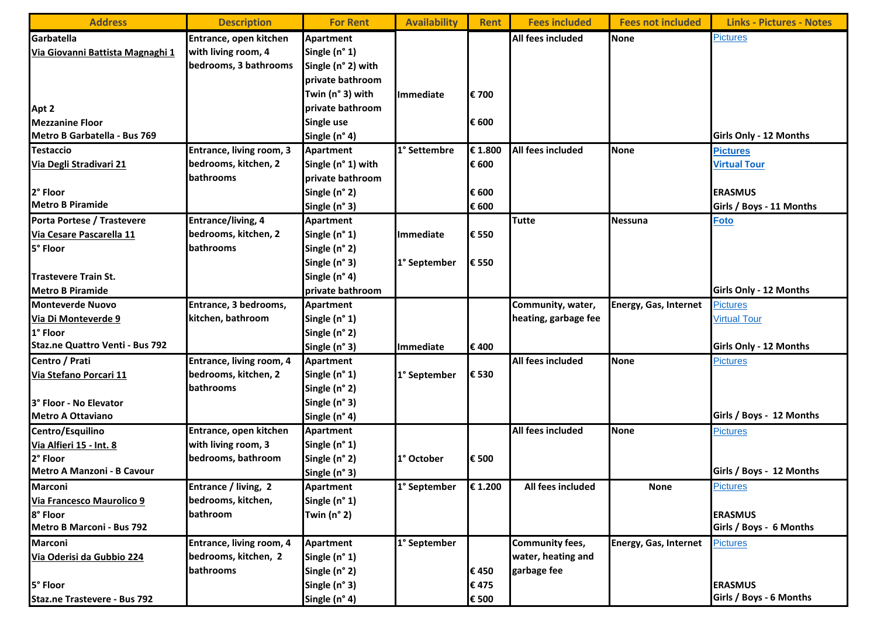| <b>Address</b>                   | <b>Description</b>       | <b>For Rent</b>          | <b>Availability</b> | <b>Rent</b> | <b>Fees included</b>   | <b>Fees not included</b>     | <b>Links - Pictures - Notes</b> |
|----------------------------------|--------------------------|--------------------------|---------------------|-------------|------------------------|------------------------------|---------------------------------|
| Garbatella                       | Entrance, open kitchen   | Apartment                |                     |             | All fees included      | <b>None</b>                  | <b>Pictures</b>                 |
| Via Giovanni Battista Magnaghi 1 | with living room, 4      | Single (n° 1)            |                     |             |                        |                              |                                 |
|                                  | bedrooms, 3 bathrooms    | Single (n° 2) with       |                     |             |                        |                              |                                 |
|                                  |                          | <b>Iprivate bathroom</b> |                     |             |                        |                              |                                 |
|                                  |                          | Twin (n° 3) with         | <b>Immediate</b>    | € 700       |                        |                              |                                 |
| Apt 2                            |                          | private bathroom         |                     |             |                        |                              |                                 |
| <b>Mezzanine Floor</b>           |                          | Single use               |                     | € 600       |                        |                              |                                 |
| Metro B Garbatella - Bus 769     |                          | Single (n° 4)            |                     |             |                        |                              | Girls Only - 12 Months          |
| <b>Testaccio</b>                 | Entrance, living room, 3 | Apartment                | 1° Settembre        | € 1.800     | All fees included      | <b>None</b>                  | <b>Pictures</b>                 |
| Via Degli Stradivari 21          | bedrooms, kitchen, 2     | Single (n° 1) with       |                     | € 600       |                        |                              | <b>Virtual Tour</b>             |
|                                  | <b>bathrooms</b>         | private bathroom         |                     |             |                        |                              |                                 |
| 2° Floor                         |                          | Single (n° 2)            |                     | € 600       |                        |                              | <b>ERASMUS</b>                  |
| <b>Metro B Piramide</b>          |                          | Single (n° 3)            |                     | € 600       |                        |                              | Girls / Boys - 11 Months        |
| Porta Portese / Trastevere       | Entrance/living, 4       | <b>Apartment</b>         |                     |             | <b>Tutte</b>           | <b>Nessuna</b>               | <b>Foto</b>                     |
| Via Cesare Pascarella 11         | bedrooms, kitchen, 2     | Single (n° 1)            | Immediate           | € 550       |                        |                              |                                 |
| 5° Floor                         | <b>bathrooms</b>         | Single (n° 2)            |                     |             |                        |                              |                                 |
|                                  |                          | Single (n° 3)            | 1° September        | € 550       |                        |                              |                                 |
| Trastevere Train St.             |                          | Single (n° 4)            |                     |             |                        |                              |                                 |
| <b>Metro B Piramide</b>          |                          | private bathroom         |                     |             |                        |                              | Girls Only - 12 Months          |
| <b>Monteverde Nuovo</b>          | Entrance, 3 bedrooms,    | <b>Apartment</b>         |                     |             | Community, water,      | <b>Energy, Gas, Internet</b> | <b>Pictures</b>                 |
| Via Di Monteverde 9              | kitchen, bathroom        | Single (n° 1)            |                     |             | heating, garbage fee   |                              | <b>Virtual Tour</b>             |
| 1° Floor                         |                          | Single (n° 2)            |                     |             |                        |                              |                                 |
| Staz.ne Quattro Venti - Bus 792  |                          | Single (n° 3)            | Immediate           | €400        |                        |                              | Girls Only - 12 Months          |
| Centro / Prati                   | Entrance, living room, 4 | Apartment                |                     |             | All fees included      | <b>None</b>                  | <b>Pictures</b>                 |
| Via Stefano Porcari 11           | bedrooms, kitchen, 2     | Single (n° 1)            | 1° September        | € 530       |                        |                              |                                 |
|                                  | bathrooms                | Single (n° 2)            |                     |             |                        |                              |                                 |
| 3° Floor - No Elevator           |                          | Single (n° 3)            |                     |             |                        |                              |                                 |
| <b>Metro A Ottaviano</b>         |                          | Single (n° 4)            |                     |             |                        |                              | Girls / Boys - 12 Months        |
| Centro/Esquilino                 | Entrance, open kitchen   | <b>Apartment</b>         |                     |             | All fees included      | <b>None</b>                  | <b>Pictures</b>                 |
| Via Alfieri 15 - Int. 8          | with living room, 3      | Single (n° 1)            |                     |             |                        |                              |                                 |
| 2° Floor                         | bedrooms, bathroom       | Single (n° 2)            | 1° October          | € 500       |                        |                              |                                 |
| Metro A Manzoni - B Cavour       |                          | Single (n° 3)            |                     |             |                        |                              | Girls / Boys - 12 Months        |
| Marconi                          | Entrance / living, 2     | Apartment                | 1° September        | € 1.200     | All fees included      | <b>None</b>                  | <b>Pictures</b>                 |
| Via Francesco Maurolico 9        | bedrooms, kitchen,       | Single (n° 1)            |                     |             |                        |                              |                                 |
| 8° Floor                         | bathroom                 | Twin $(n^{\circ} 2)$     |                     |             |                        |                              | <b>ERASMUS</b>                  |
| <b>Metro B Marconi - Bus 792</b> |                          |                          |                     |             |                        |                              | Girls / Boys - 6 Months         |
| Marconi                          | Entrance, living room, 4 | <b>Apartment</b>         | 1° September        |             | <b>Community fees,</b> | <b>Energy, Gas, Internet</b> | <b>Pictures</b>                 |
| Via Oderisi da Gubbio 224        | bedrooms, kitchen, 2     | Single (n° 1)            |                     |             | water, heating and     |                              |                                 |
|                                  | bathrooms                | Single (n° 2)            |                     | €450        | garbage fee            |                              |                                 |
| 5° Floor                         |                          | Single (n° 3)            |                     | €475        |                        |                              | <b>ERASMUS</b>                  |
| Staz.ne Trastevere - Bus 792     |                          | Single (n° 4)            |                     | € 500       |                        |                              | Girls / Boys - 6 Months         |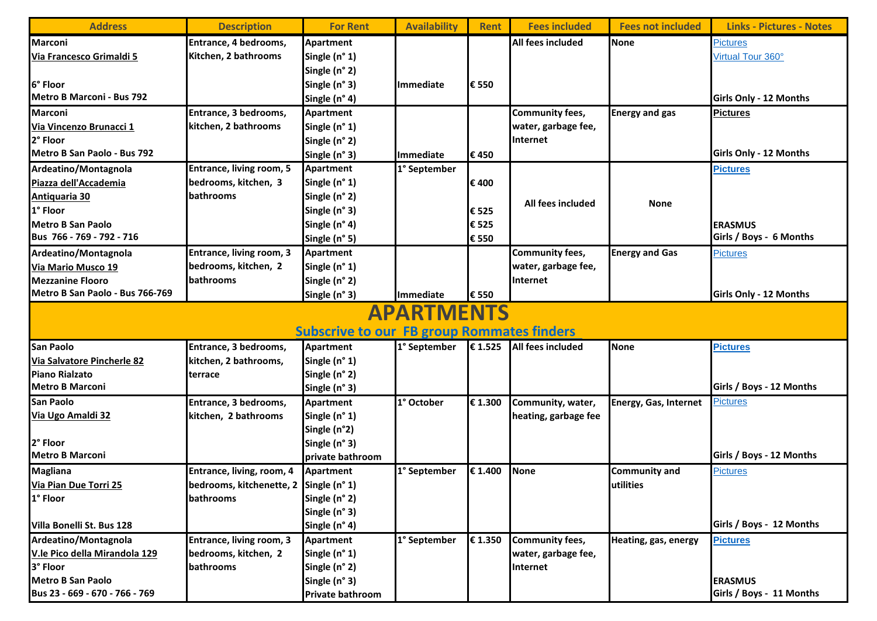| <b>Address</b>                                                         | <b>Description</b>                     | <b>For Rent</b>  | <b>Availability</b> | <b>Rent</b> | <b>Fees included</b>   | <b>Fees not included</b>     | <b>Links - Pictures - Notes</b> |  |  |
|------------------------------------------------------------------------|----------------------------------------|------------------|---------------------|-------------|------------------------|------------------------------|---------------------------------|--|--|
| <b>Marconi</b>                                                         | Entrance, 4 bedrooms,                  | <b>Apartment</b> |                     |             | All fees included      | <b>None</b>                  | <b>Pictures</b>                 |  |  |
| Via Francesco Grimaldi 5                                               | Kitchen, 2 bathrooms                   | Single (n° 1)    |                     |             |                        |                              | Virtual Tour 360°               |  |  |
|                                                                        |                                        | Single (n° 2)    |                     |             |                        |                              |                                 |  |  |
| 6° Floor                                                               |                                        | Single (n° 3)    | <b>Immediate</b>    | € 550       |                        |                              |                                 |  |  |
| Metro B Marconi - Bus 792                                              |                                        | Single (n° 4)    |                     |             |                        |                              | <b>Girls Only - 12 Months</b>   |  |  |
| <b>Marconi</b>                                                         | Entrance, 3 bedrooms,                  | Apartment        |                     |             | Community fees,        | <b>Energy and gas</b>        | <b>Pictures</b>                 |  |  |
| Via Vincenzo Brunacci 1                                                | kitchen, 2 bathrooms                   | Single (n° 1)    |                     |             | water, garbage fee,    |                              |                                 |  |  |
| 2° Floor                                                               |                                        | Single (n° 2)    |                     |             | Internet               |                              |                                 |  |  |
| Metro B San Paolo - Bus 792                                            |                                        | Single (n° 3)    | Immediate           | €450        |                        |                              | <b>Girls Only - 12 Months</b>   |  |  |
| Ardeatino/Montagnola                                                   | Entrance, living room, 5               | Apartment        | 1° September        |             |                        |                              | <b>Pictures</b>                 |  |  |
| Piazza dell'Accademia                                                  | bedrooms, kitchen, 3                   | Single (n° 1)    |                     | €400        |                        |                              |                                 |  |  |
| <b>Antiquaria 30</b>                                                   | bathrooms                              | Single (n° 2)    |                     |             |                        |                              |                                 |  |  |
| 1° Floor                                                               |                                        | Single (n° 3)    |                     | €525        | All fees included      | <b>None</b>                  |                                 |  |  |
| <b>Metro B San Paolo</b>                                               |                                        | Single (n° 4)    |                     | € 525       |                        |                              | <b>ERASMUS</b>                  |  |  |
| Bus 766 - 769 - 792 - 716                                              |                                        | Single (n° 5)    |                     | € 550       |                        |                              | Girls / Boys - 6 Months         |  |  |
| Ardeatino/Montagnola                                                   | Entrance, living room, 3               | <b>Apartment</b> |                     |             | Community fees,        | <b>Energy and Gas</b>        | <b>Pictures</b>                 |  |  |
| Via Mario Musco 19                                                     | bedrooms, kitchen, 2                   | Single (n° 1)    |                     |             | water, garbage fee,    |                              |                                 |  |  |
| <b>Mezzanine Flooro</b>                                                | bathrooms                              | Single (n° 2)    |                     |             | Internet               |                              |                                 |  |  |
| Metro B San Paolo - Bus 766-769                                        |                                        | Single (n° 3)    | <b>Immediate</b>    | € 550       |                        |                              | <b>Girls Only - 12 Months</b>   |  |  |
| <b>APARTMENTS</b><br><b>Subscrive to our FB group Rommates finders</b> |                                        |                  |                     |             |                        |                              |                                 |  |  |
| <b>San Paolo</b>                                                       | Entrance, 3 bedrooms,                  | Apartment        | 1° September        | € 1.525     | All fees included      | <b>None</b>                  | <b>Pictures</b>                 |  |  |
| Via Salvatore Pincherle 82                                             | kitchen, 2 bathrooms,                  | Single (n° 1)    |                     |             |                        |                              |                                 |  |  |
| <b>Piano Rialzato</b>                                                  | terrace                                | Single (n° 2)    |                     |             |                        |                              |                                 |  |  |
| <b>Metro B Marconi</b>                                                 |                                        | Single (n° 3)    |                     |             |                        |                              | Girls / Boys - 12 Months        |  |  |
| San Paolo                                                              | Entrance, 3 bedrooms,                  | <b>Apartment</b> | 1° October          | € 1.300     | Community, water,      | <b>Energy, Gas, Internet</b> | <b>Pictures</b>                 |  |  |
| Via Ugo Amaldi 32                                                      | kitchen, 2 bathrooms                   | Single (n° 1)    |                     |             | heating, garbage fee   |                              |                                 |  |  |
|                                                                        |                                        | Single (n°2)     |                     |             |                        |                              |                                 |  |  |
| 2° Floor                                                               |                                        | Single (n° 3)    |                     |             |                        |                              |                                 |  |  |
| <b>Metro B Marconi</b>                                                 |                                        | private bathroom |                     |             |                        |                              | Girls / Boys - 12 Months        |  |  |
| <b>Magliana</b>                                                        | Entrance, living, room, 4              | Apartment        | 1° September        | € 1.400     | None                   | <b>Community and</b>         | <b>Pictures</b>                 |  |  |
| Via Pian Due Torri 25                                                  | bedrooms, kitchenette, 2 Single (n° 1) |                  |                     |             |                        | utilities                    |                                 |  |  |
| 1° Floor                                                               | bathrooms                              | Single (n° 2)    |                     |             |                        |                              |                                 |  |  |
|                                                                        |                                        | Single (n° 3)    |                     |             |                        |                              |                                 |  |  |
| Villa Bonelli St. Bus 128                                              |                                        | Single (n° 4)    |                     |             |                        |                              | Girls / Boys - 12 Months        |  |  |
| Ardeatino/Montagnola                                                   | Entrance, living room, 3               | Apartment        | 1° September        | € 1.350     | <b>Community fees,</b> | Heating, gas, energy         | <b>Pictures</b>                 |  |  |
| V.le Pico della Mirandola 129                                          | bedrooms, kitchen, 2                   | Single (n° 1)    |                     |             | water, garbage fee,    |                              |                                 |  |  |
| 3° Floor                                                               | bathrooms                              | Single (n° 2)    |                     |             | Internet               |                              |                                 |  |  |
| <b>Metro B San Paolo</b>                                               |                                        | Single (n° 3)    |                     |             |                        |                              | <b>ERASMUS</b>                  |  |  |
| Bus 23 - 669 - 670 - 766 - 769                                         |                                        | Private bathroom |                     |             |                        |                              | Girls / Boys - 11 Months        |  |  |